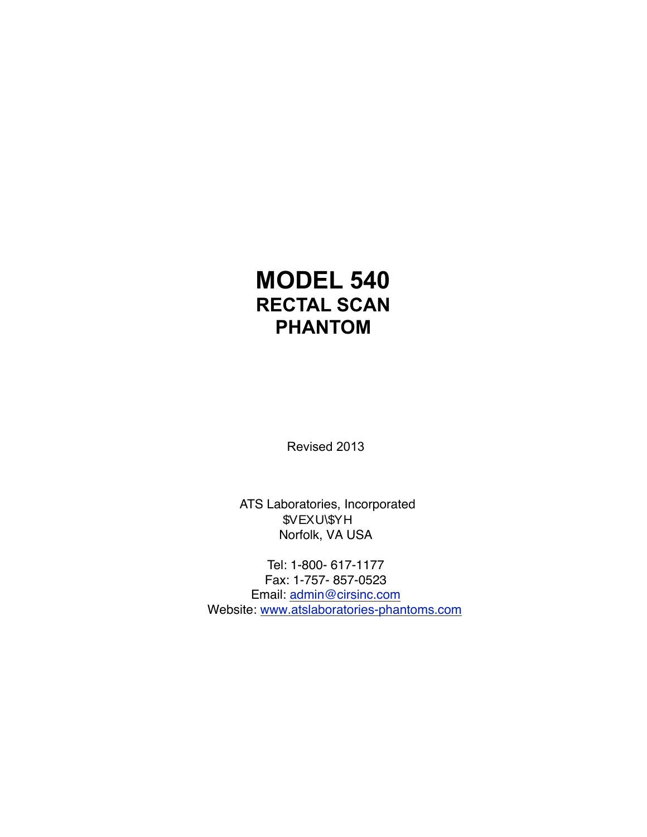# **MODEL 540 RECTAL SCAN PHANTOM**

Revised 2013

ATS Laboratories, Incorporated \$VEXU\\$YH Norfolk, VA USA

Tel: 1-800- 617-1177 Fax: 1-757- 857-0523 Email: [admin@cirsinc.com](mailto:atslaboratories@yahoo.com) Website: [www.atslaboratories](http://www.atslaboratories-phantoms.com)-phantoms.com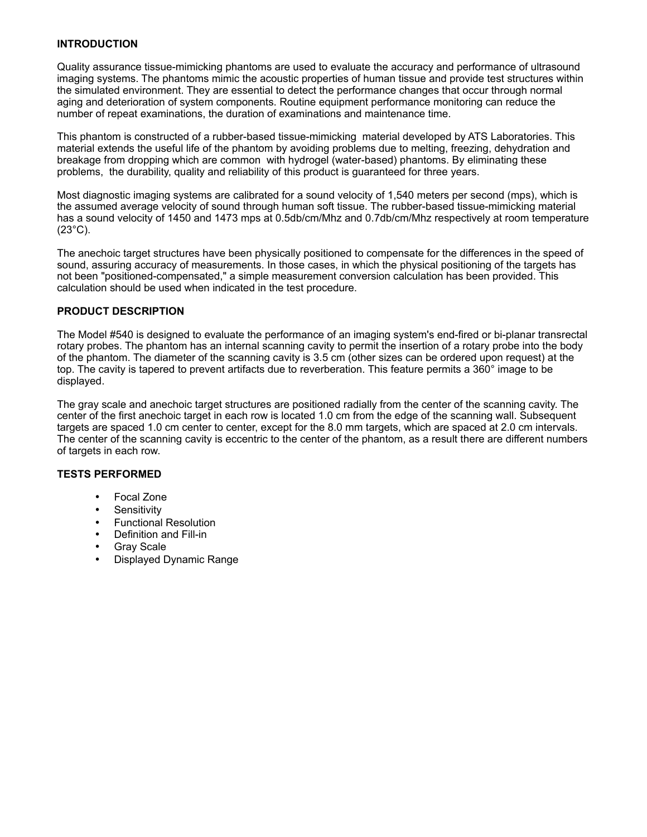#### **INTRODUCTION**

Quality assurance tissue-mimicking phantoms are used to evaluate the accuracy and performance of ultrasound imaging systems. The phantoms mimic the acoustic properties of human tissue and provide test structures within the simulated environment. They are essential to detect the performance changes that occur through normal aging and deterioration of system components. Routine equipment performance monitoring can reduce the number of repeat examinations, the duration of examinations and maintenance time.

This phantom is constructed of a rubber-based tissue-mimicking material developed by ATS Laboratories. This material extends the useful life of the phantom by avoiding problems due to melting, freezing, dehydration and breakage from dropping which are common with hydrogel (water-based) phantoms. By eliminating these problems, the durability, quality and reliability of this product is guaranteed for three years.

Most diagnostic imaging systems are calibrated for a sound velocity of 1,540 meters per second (mps), which is the assumed average velocity of sound through human soft tissue. The rubber-based tissue-mimicking material has a sound velocity of 1450 and 1473 mps at 0.5db/cm/Mhz and 0.7db/cm/Mhz respectively at room temperature  $(23^{\circ}C)$ .

The anechoic target structures have been physically positioned to compensate for the differences in the speed of sound, assuring accuracy of measurements. In those cases, in which the physical positioning of the targets has not been "positioned-compensated," a simple measurement conversion calculation has been provided. This calculation should be used when indicated in the test procedure.

#### **PRODUCT DESCRIPTION**

The Model #540 is designed to evaluate the performance of an imaging system's end-fired or bi-planar transrectal rotary probes. The phantom has an internal scanning cavity to permit the insertion of a rotary probe into the body of the phantom. The diameter of the scanning cavity is 3.5 cm (other sizes can be ordered upon request) at the top. The cavity is tapered to prevent artifacts due to reverberation. This feature permits a 360° image to be displayed.

The gray scale and anechoic target structures are positioned radially from the center of the scanning cavity. The center of the first anechoic target in each row is located 1.0 cm from the edge of the scanning wall. Subsequent targets are spaced 1.0 cm center to center, except for the 8.0 mm targets, which are spaced at 2.0 cm intervals. The center of the scanning cavity is eccentric to the center of the phantom, as a result there are different numbers of targets in each row.

#### **TESTS PERFORMED**

- Focal Zone
- Sensitivity
- Functional Resolution
- Definition and Fill-in
- **Gray Scale**
- Displayed Dynamic Range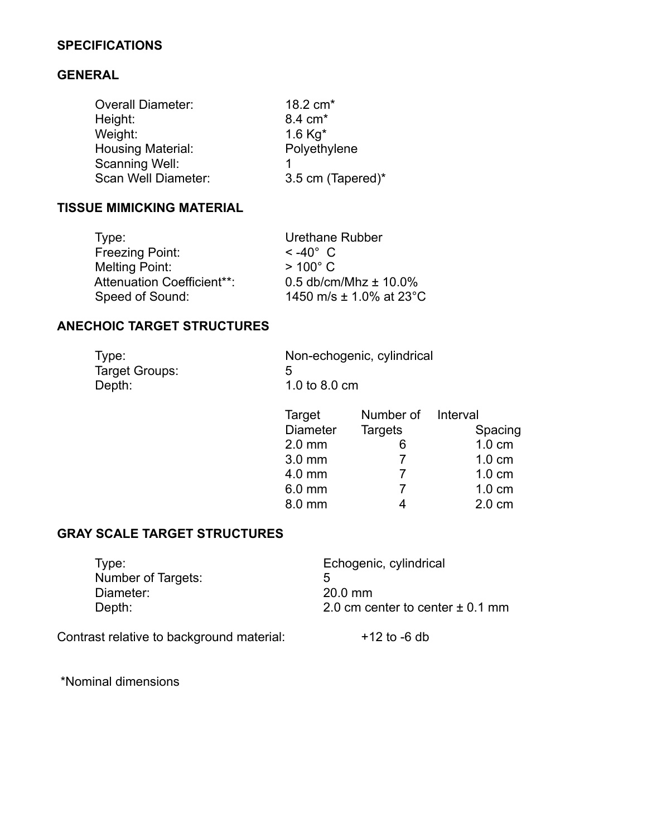## **SPECIFICATIONS**

## **GENERAL**

| <b>Overall Diameter:</b> | 18.2 cm <sup>*</sup> |
|--------------------------|----------------------|
| Height:                  | 8.4 cm <sup>*</sup>  |
| Weight:                  | 1.6 $Kq^*$           |
| Housing Material:        | Polyethylene         |
| Scanning Well:           |                      |
| Scan Well Diameter:      | 3.5 cm (Tapered)*    |

# **TISSUE MIMICKING MATERIAL**

| Type:                             | Urethane Rubber             |
|-----------------------------------|-----------------------------|
| Freezing Point:                   | $<$ -40 $^{\circ}$ C.       |
| Melting Point:                    | $>100^{\circ}$ C            |
| <b>Attenuation Coefficient**:</b> | 0.5 db/cm/Mhz $\pm$ 10.0%   |
| Speed of Sound:                   | 1450 m/s $\pm$ 1.0% at 23°C |

#### **ANECHOIC TARGET STRUCTURES**

| Type:          | Non-echogenic, cylindrical |
|----------------|----------------------------|
| Target Groups: | h                          |
| Depth:         | 1.0 to 8.0 cm              |

| Target          | Number of Interval |                  |
|-----------------|--------------------|------------------|
| <b>Diameter</b> | <b>Targets</b>     | Spacing          |
| $2.0$ mm        |                    | $1.0 \text{ cm}$ |
| 3.0 mm          |                    | $1.0 \text{ cm}$ |
| 4.0 mm          |                    | $1.0 \text{ cm}$ |
| 6.0 mm          | 7                  | $1.0 \text{ cm}$ |
| 8.0 mm          |                    | $2.0 \text{ cm}$ |

# **GRAY SCALE TARGET STRUCTURES**

| Type:              | Echogenic, cylindrical               |
|--------------------|--------------------------------------|
| Number of Targets: | 5                                    |
| Diameter:          | $20.0$ mm                            |
| Depth:             | 2.0 cm center to center $\pm$ 0.1 mm |
|                    |                                      |

Contrast relative to background material: +12 to -6 db

\*Nominal dimensions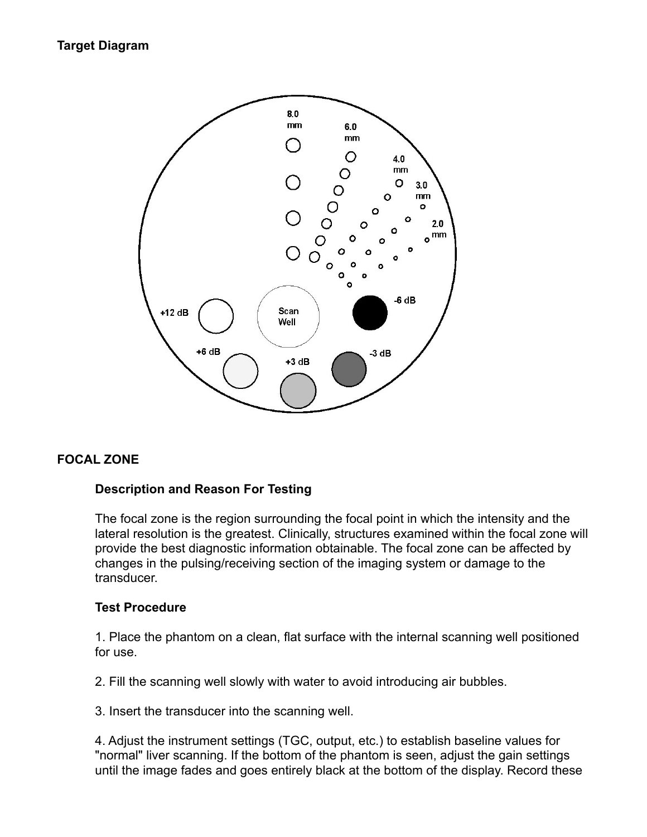# **Target Diagram**



# **FOCAL ZONE**

#### **Description and Reason For Testing**

The focal zone is the region surrounding the focal point in which the intensity and the lateral resolution is the greatest. Clinically, structures examined within the focal zone will provide the best diagnostic information obtainable. The focal zone can be affected by changes in the pulsing/receiving section of the imaging system or damage to the transducer.

#### **Test Procedure**

1. Place the phantom on a clean, flat surface with the internal scanning well positioned for use.

2. Fill the scanning well slowly with water to avoid introducing air bubbles.

3. Insert the transducer into the scanning well.

4. Adjust the instrument settings (TGC, output, etc.) to establish baseline values for "normal" liver scanning. If the bottom of the phantom is seen, adjust the gain settings until the image fades and goes entirely black at the bottom of the display. Record these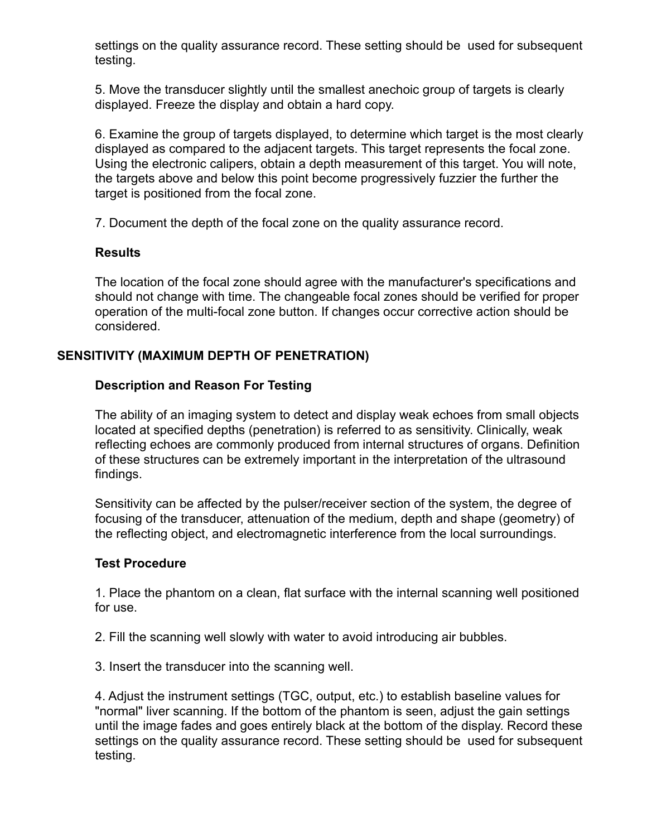settings on the quality assurance record. These setting should be used for subsequent testing.

5. Move the transducer slightly until the smallest anechoic group of targets is clearly displayed. Freeze the display and obtain a hard copy.

6. Examine the group of targets displayed, to determine which target is the most clearly displayed as compared to the adjacent targets. This target represents the focal zone. Using the electronic calipers, obtain a depth measurement of this target. You will note, the targets above and below this point become progressively fuzzier the further the target is positioned from the focal zone.

7. Document the depth of the focal zone on the quality assurance record.

## **Results**

The location of the focal zone should agree with the manufacturer's specifications and should not change with time. The changeable focal zones should be verified for proper operation of the multi-focal zone button. If changes occur corrective action should be considered.

# **SENSITIVITY (MAXIMUM DEPTH OF PENETRATION)**

## **Description and Reason For Testing**

The ability of an imaging system to detect and display weak echoes from small objects located at specified depths (penetration) is referred to as sensitivity. Clinically, weak reflecting echoes are commonly produced from internal structures of organs. Definition of these structures can be extremely important in the interpretation of the ultrasound findings.

Sensitivity can be affected by the pulser/receiver section of the system, the degree of focusing of the transducer, attenuation of the medium, depth and shape (geometry) of the reflecting object, and electromagnetic interference from the local surroundings.

#### **Test Procedure**

1. Place the phantom on a clean, flat surface with the internal scanning well positioned for use.

2. Fill the scanning well slowly with water to avoid introducing air bubbles.

3. Insert the transducer into the scanning well.

4. Adjust the instrument settings (TGC, output, etc.) to establish baseline values for "normal" liver scanning. If the bottom of the phantom is seen, adjust the gain settings until the image fades and goes entirely black at the bottom of the display. Record these settings on the quality assurance record. These setting should be used for subsequent testing.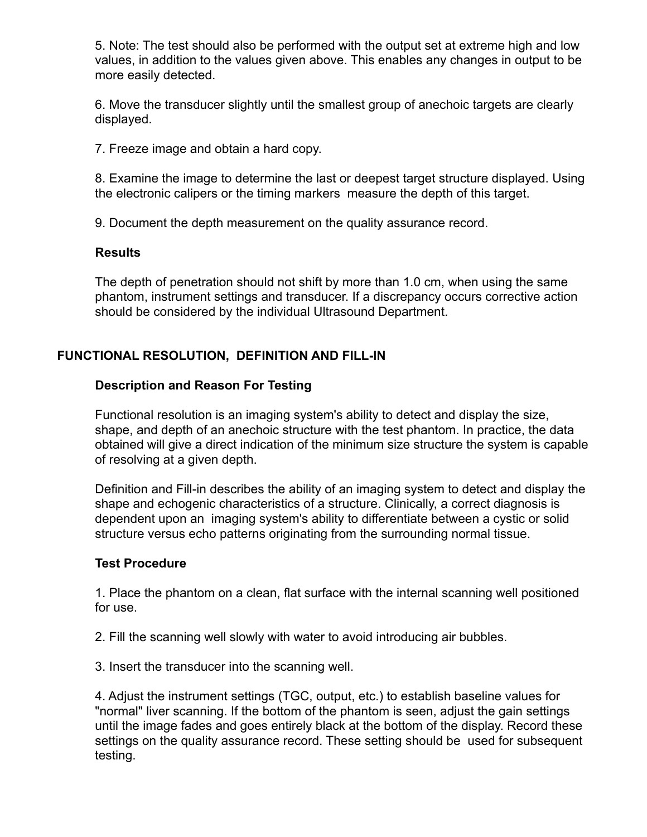5. Note: The test should also be performed with the output set at extreme high and low values, in addition to the values given above. This enables any changes in output to be more easily detected.

6. Move the transducer slightly until the smallest group of anechoic targets are clearly displayed.

7. Freeze image and obtain a hard copy.

8. Examine the image to determine the last or deepest target structure displayed. Using the electronic calipers or the timing markers measure the depth of this target.

9. Document the depth measurement on the quality assurance record.

## **Results**

The depth of penetration should not shift by more than 1.0 cm, when using the same phantom, instrument settings and transducer. If a discrepancy occurs corrective action should be considered by the individual Ultrasound Department.

# **FUNCTIONAL RESOLUTION, DEFINITION AND FILL-IN**

## **Description and Reason For Testing**

Functional resolution is an imaging system's ability to detect and display the size, shape, and depth of an anechoic structure with the test phantom. In practice, the data obtained will give a direct indication of the minimum size structure the system is capable of resolving at a given depth.

Definition and Fill-in describes the ability of an imaging system to detect and display the shape and echogenic characteristics of a structure. Clinically, a correct diagnosis is dependent upon an imaging system's ability to differentiate between a cystic or solid structure versus echo patterns originating from the surrounding normal tissue.

#### **Test Procedure**

1. Place the phantom on a clean, flat surface with the internal scanning well positioned for use.

2. Fill the scanning well slowly with water to avoid introducing air bubbles.

3. Insert the transducer into the scanning well.

4. Adjust the instrument settings (TGC, output, etc.) to establish baseline values for "normal" liver scanning. If the bottom of the phantom is seen, adjust the gain settings until the image fades and goes entirely black at the bottom of the display. Record these settings on the quality assurance record. These setting should be used for subsequent testing.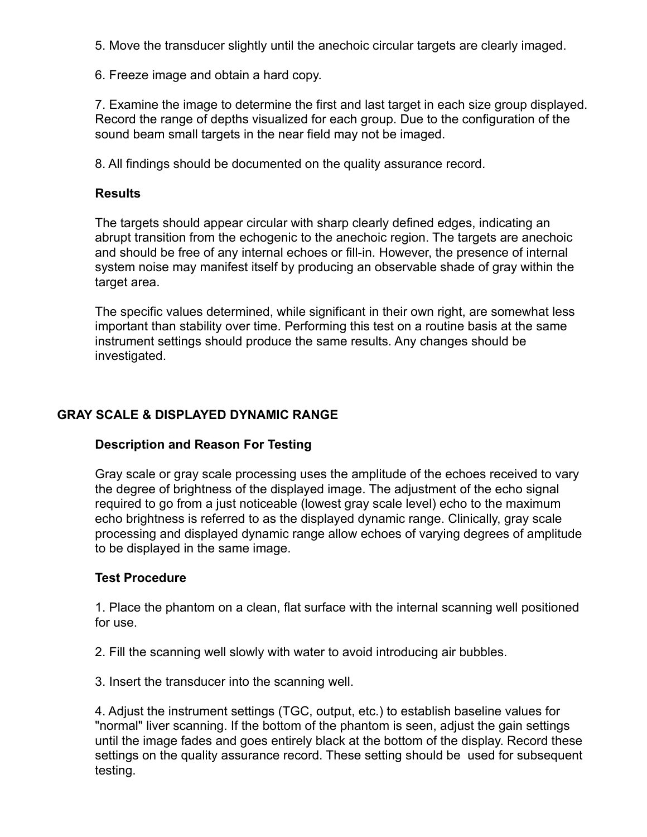5. Move the transducer slightly until the anechoic circular targets are clearly imaged.

6. Freeze image and obtain a hard copy.

7. Examine the image to determine the first and last target in each size group displayed. Record the range of depths visualized for each group. Due to the configuration of the sound beam small targets in the near field may not be imaged.

8. All findings should be documented on the quality assurance record.

## **Results**

The targets should appear circular with sharp clearly defined edges, indicating an abrupt transition from the echogenic to the anechoic region. The targets are anechoic and should be free of any internal echoes or fill-in. However, the presence of internal system noise may manifest itself by producing an observable shade of gray within the target area.

The specific values determined, while significant in their own right, are somewhat less important than stability over time. Performing this test on a routine basis at the same instrument settings should produce the same results. Any changes should be investigated.

# **GRAY SCALE & DISPLAYED DYNAMIC RANGE**

# **Description and Reason For Testing**

Gray scale or gray scale processing uses the amplitude of the echoes received to vary the degree of brightness of the displayed image. The adjustment of the echo signal required to go from a just noticeable (lowest gray scale level) echo to the maximum echo brightness is referred to as the displayed dynamic range. Clinically, gray scale processing and displayed dynamic range allow echoes of varying degrees of amplitude to be displayed in the same image.

# **Test Procedure**

1. Place the phantom on a clean, flat surface with the internal scanning well positioned for use.

2. Fill the scanning well slowly with water to avoid introducing air bubbles.

3. Insert the transducer into the scanning well.

4. Adjust the instrument settings (TGC, output, etc.) to establish baseline values for "normal" liver scanning. If the bottom of the phantom is seen, adjust the gain settings until the image fades and goes entirely black at the bottom of the display. Record these settings on the quality assurance record. These setting should be used for subsequent testing.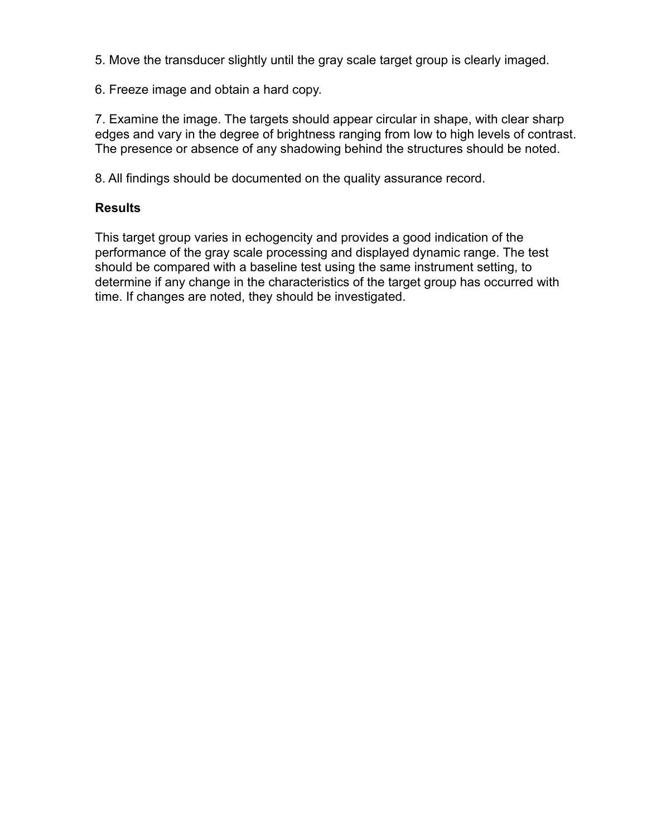5. Move the transducer slightly until the gray scale target group is clearly imaged.

6. Freeze image and obtain a hard copy.

7. Examine the image. The targets should appear circular in shape, with clear sharp edges and vary in the degree of brightness ranging from low to high levels of contrast. The presence or absence of any shadowing behind the structures should be noted.

8. All findings should be documented on the quality assurance record.

## **Results**

This target group varies in echogencity and provides a good indication of the performance of the gray scale processing and displayed dynamic range. The test should be compared with a baseline test using the same instrument setting, to determine if any change in the characteristics of the target group has occurred with time. If changes are noted, they should be investigated.